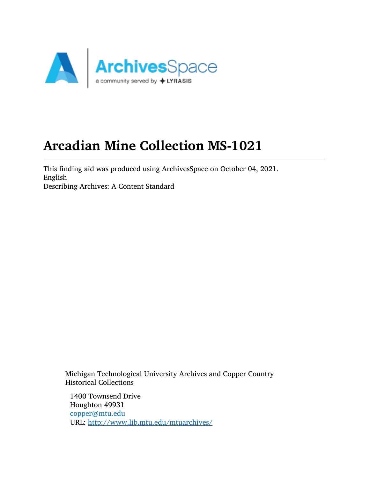

# Arcadian Mine Collection MS-1021

This finding aid was produced using ArchivesSpace on October 04, 2021. English Describing Archives: A Content Standard

Michigan Technological University Archives and Copper Country Historical Collections

1400 Townsend Drive Houghton 49931 [copper@mtu.edu](mailto:copper@mtu.edu) URL: <http://www.lib.mtu.edu/mtuarchives/>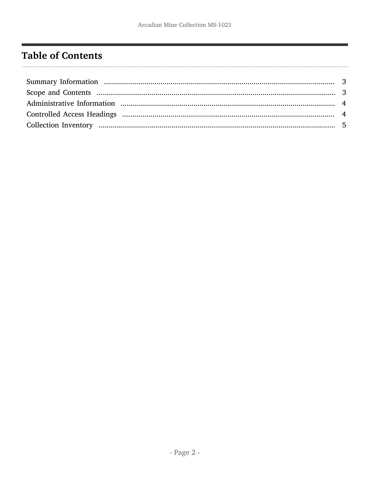# <span id="page-1-0"></span>**Table of Contents**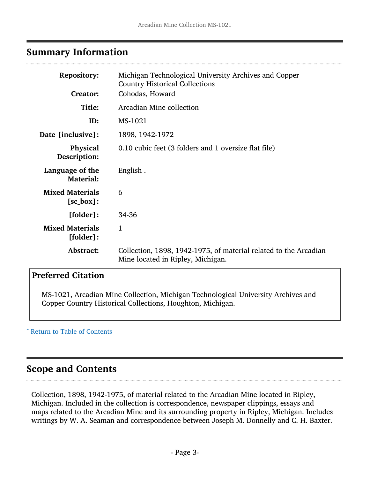# <span id="page-2-0"></span>Summary Information

| <b>Repository:</b>                     | Michigan Technological University Archives and Copper                                                 |
|----------------------------------------|-------------------------------------------------------------------------------------------------------|
| <b>Creator:</b>                        | <b>Country Historical Collections</b><br>Cohodas, Howard                                              |
| Title:                                 | Arcadian Mine collection                                                                              |
| ID:                                    | MS-1021                                                                                               |
| Date [inclusive]:                      | 1898, 1942-1972                                                                                       |
| Physical<br>Description:               | 0.10 cubic feet (3 folders and 1 oversize flat file)                                                  |
| Language of the<br><b>Material:</b>    | English.                                                                                              |
| <b>Mixed Materials</b><br>$[sc_box]:$  | 6                                                                                                     |
| [folder]:                              | 34-36                                                                                                 |
| <b>Mixed Materials</b><br>$[folder]$ : | $\mathbf{1}$                                                                                          |
| Abstract:                              | Collection, 1898, 1942-1975, of material related to the Arcadian<br>Mine located in Ripley, Michigan. |

# Preferred Citation

MS-1021, Arcadian Mine Collection, Michigan Technological University Archives and Copper Country Historical Collections, Houghton, Michigan.

#### ^ [Return to Table of Contents](#page-1-0)

# <span id="page-2-1"></span>Scope and Contents

Collection, 1898, 1942-1975, of material related to the Arcadian Mine located in Ripley, Michigan. Included in the collection is correspondence, newspaper clippings, essays and maps related to the Arcadian Mine and its surrounding property in Ripley, Michigan. Includes writings by W. A. Seaman and correspondence between Joseph M. Donnelly and C. H. Baxter.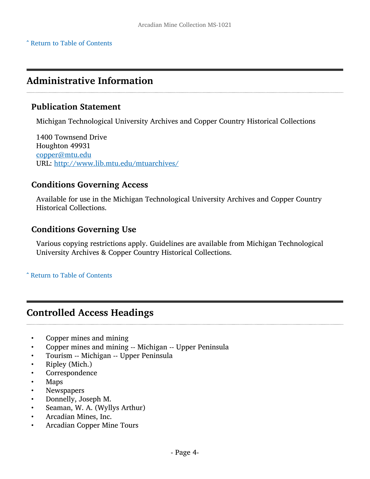# <span id="page-3-0"></span>Administrative Information

#### Publication Statement

Michigan Technological University Archives and Copper Country Historical Collections

1400 Townsend Drive Houghton 49931 [copper@mtu.edu](mailto:copper@mtu.edu) URL: <http://www.lib.mtu.edu/mtuarchives/>

#### Conditions Governing Access

Available for use in the Michigan Technological University Archives and Copper Country Historical Collections.

### Conditions Governing Use

Various copying restrictions apply. Guidelines are available from Michigan Technological University Archives & Copper Country Historical Collections.

^ [Return to Table of Contents](#page-1-0)

# <span id="page-3-1"></span>Controlled Access Headings

- Copper mines and mining
- Copper mines and mining -- Michigan -- Upper Peninsula
- Tourism -- Michigan -- Upper Peninsula
- Ripley (Mich.)
- **Correspondence**
- Maps
- **Newspapers**
- Donnelly, Joseph M.
- Seaman, W. A. (Wyllys Arthur)
- Arcadian Mines, Inc.
- Arcadian Copper Mine Tours